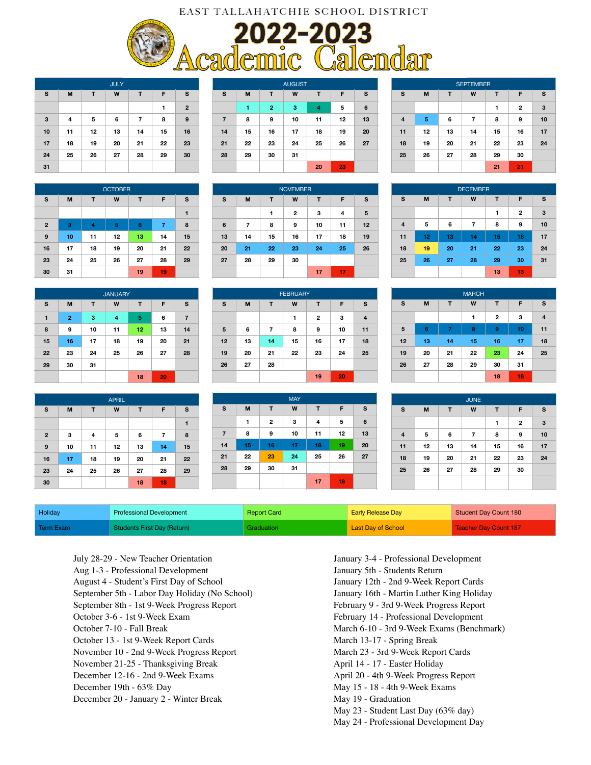## EAST TALLAHATCHIE SCHOOL DISTRICT

2022-2023<br>Academic Calendar



JULY **S M T W T F S 1 2 3 4 5 6 7 8 9 10 11 12 13 14 15 16 17 18 19 20 21 22 23 24 25 26 27 28 29 30 31**

| <b>OCTOBER</b> |                       |    |    |    |    |    |  |  |
|----------------|-----------------------|----|----|----|----|----|--|--|
| S              | M<br>W<br>T<br>T<br>F |    |    |    |    |    |  |  |
|                |                       |    |    |    |    | 1  |  |  |
| $\mathbf{2}$   | 3                     | 4  | 5  | 6  | 7  | 8  |  |  |
| 9              | 10                    | 11 | 12 | 13 | 14 | 15 |  |  |
| 16             | 17                    | 18 | 19 | 20 | 21 | 22 |  |  |
| 23             | 24                    | 25 | 26 | 27 | 28 | 29 |  |  |
| 30             | 31                    |    |    | 19 | 19 |    |  |  |

| <b>JANUARY</b> |                |    |    |    |    |                |  |  |
|----------------|----------------|----|----|----|----|----------------|--|--|
| s              | M              | T  | W  | т  | F  | s              |  |  |
| 1              | $\overline{2}$ | 3  | 4  | 5  | 6  | $\overline{7}$ |  |  |
| 8              | 9              | 10 | 11 | 12 | 13 | 14             |  |  |
| 15             | 16             | 17 | 18 | 19 | 20 | 21             |  |  |
| 22             | 23             | 24 | 25 | 26 | 27 | 28             |  |  |
| 29             | 30             | 31 |    |    |    |                |  |  |
|                |                |    |    | 18 | 20 |                |  |  |

|              | <b>APRIL</b> |    |    |    |    |    |  |  |  |
|--------------|--------------|----|----|----|----|----|--|--|--|
| s            | M            | т  | W  | т  | F  | S  |  |  |  |
|              |              |    |    |    |    | 1  |  |  |  |
| $\mathbf{2}$ | 3            | 4  | 5  | 6  | 7  | 8  |  |  |  |
| 9            | 10           | 11 | 12 | 13 | 14 | 15 |  |  |  |
| 16           | 17           | 18 | 19 | 20 | 21 | 22 |  |  |  |
| 23           | 24           | 25 | 26 | 27 | 28 | 29 |  |  |  |
| 30           |              |    |    | 18 | 18 |    |  |  |  |

| <b>AUGUST</b>  |    |                |    |    |    |                 |  |  |
|----------------|----|----------------|----|----|----|-----------------|--|--|
| s              | M  | т              | W  | т  | F  | S               |  |  |
|                | 1  | $\overline{2}$ | 3  | 4  | 5  | $6\phantom{1}6$ |  |  |
| $\overline{7}$ | 8  | 9              | 10 | 11 | 12 | 13              |  |  |
| 14             | 15 | 16             | 17 | 18 | 19 | 20              |  |  |
| 21             | 22 | 23             | 24 | 25 | 26 | 27              |  |  |
| 28             | 29 | 30             | 31 |    |    |                 |  |  |
|                |    |                |    | 20 | 23 |                 |  |  |

| <b>NOVEMBER</b> |    |    |                         |    |    |    |  |
|-----------------|----|----|-------------------------|----|----|----|--|
| S               | M  | T  | W                       | T  | F  | S  |  |
|                 |    | 1  | $\overline{\mathbf{2}}$ | з  | 4  | 5  |  |
| 6               | 7  | 8  | 9                       | 10 | 11 | 12 |  |
| 13              | 14 | 15 | 16                      | 17 | 18 | 19 |  |
| 20              | 21 | 22 | 23                      | 24 | 25 | 26 |  |
| 27              | 28 | 29 | 30                      |    |    |    |  |
|                 |    |    |                         | 17 | 17 |    |  |

| <b>FEBRUARY</b> |    |                  |    |    |    |    |  |  |
|-----------------|----|------------------|----|----|----|----|--|--|
| s               | M  | W<br>т<br>F<br>т |    |    |    |    |  |  |
|                 |    |                  | 1  | 2  | 3  | 4  |  |  |
| 5               | 6  | 7                | 8  | 9  | 10 | 11 |  |  |
| 12              | 13 | 14               | 15 | 16 | 17 | 18 |  |  |
| 19              | 20 | 21               | 22 | 23 | 24 | 25 |  |  |
| 26              | 27 | 28               |    |    |    |    |  |  |
|                 |    |                  |    | 19 | 20 |    |  |  |

|                |    |    | <b>MAY</b> |    |    |                 |
|----------------|----|----|------------|----|----|-----------------|
| s              | M  | T  | W          | T  | F  | s               |
|                | 1  | 2  | 3          | 4  | 5  | $6\phantom{1}6$ |
| $\overline{7}$ | 8  | 9  | 10         | 11 | 12 | 13              |
| 14             | 15 | 16 | 17         | 18 | 19 | 20              |
| 21             | 22 | 23 | 24         | 25 | 26 | 27              |
| 28             | 29 | 30 | 31         |    |    |                 |
|                |    |    |            | 17 | 18 |                 |

| <b>SEPTEMBER</b> |                            |    |    |    |              |    |  |
|------------------|----------------------------|----|----|----|--------------|----|--|
| s                | M<br>т<br>S<br>W<br>F<br>T |    |    |    |              |    |  |
|                  |                            |    |    | 1  | $\mathbf{2}$ | 3  |  |
| $\overline{4}$   | 5                          | 6  | 7  | 8  | 9            | 10 |  |
| 11               | 12                         | 13 | 14 | 15 | 16           | 17 |  |
| 18               | 19                         | 20 | 21 | 22 | 23           | 24 |  |
| 25               | 26                         | 27 | 28 | 29 | 30           |    |  |
|                  |                            |    |    | 21 | 21           |    |  |

| <b>DECEMBER</b> |                            |    |    |    |                |    |  |  |
|-----------------|----------------------------|----|----|----|----------------|----|--|--|
| S               | s<br>M<br>W<br>т<br>F<br>т |    |    |    |                |    |  |  |
|                 |                            |    |    | 1  | $\overline{2}$ | 3  |  |  |
| 4               | 5                          | 6  | 7  | 8  | 9              | 10 |  |  |
| 11              | 12                         | 13 | 14 | 15 | 16             | 17 |  |  |
| 18              | 19                         | 20 | 21 | 22 | 23             | 24 |  |  |
| 25              | 26                         | 27 | 28 | 29 | 30             | 31 |  |  |
|                 |                            |    |    | 13 | 13             |    |  |  |

| <b>MARCH</b> |    |    |    |    |    |                |  |  |
|--------------|----|----|----|----|----|----------------|--|--|
| S            | M  | т  | W  | T  | F  | s              |  |  |
|              |    |    | 1  | 2  | 3  | $\overline{4}$ |  |  |
| 5            | 6  | 7  | 8  | 9  | 10 | 11             |  |  |
| 12           | 13 | 14 | 15 | 16 | 17 | 18             |  |  |
| 19           | 20 | 21 | 22 | 23 | 24 | 25             |  |  |
| 26           | 27 | 28 | 29 | 30 | 31 |                |  |  |
|              |    |    |    | 18 | 18 |                |  |  |

| <b>JUNE</b>             |    |    |    |    |                         |    |  |  |
|-------------------------|----|----|----|----|-------------------------|----|--|--|
| $\mathbf s$             | M  | т  | W  | T  | F                       | s  |  |  |
|                         |    |    |    | 1  | $\overline{\mathbf{c}}$ | 3  |  |  |
| $\overline{\mathbf{4}}$ | 5  | 6  | 7  | 8  | 9                       | 10 |  |  |
| 11                      | 12 | 13 | 14 | 15 | 16                      | 17 |  |  |
| 18                      | 19 | 20 | 21 | 22 | 23                      | 24 |  |  |
| 25                      | 26 | 27 | 28 | 29 | 30                      |    |  |  |
|                         |    |    |    |    |                         |    |  |  |

| <b>Holidav</b> | <b>Professional Development</b> | <b>Report Card</b> | <b>Early Release Day</b> | Student Day Count 180 |
|----------------|---------------------------------|--------------------|--------------------------|-----------------------|
| Term Exam      | Students First Day (Return)     | <b>Graduation</b>  | Last Day of School       | Teacher Day Count 187 |

July 28-29 - New Teacher Orientation Aug 1-3 - Professional Development August 4 - Student's First Day of School September 5th - Labor Day Holiday (No School) September 8th - 1st 9-Week Progress Report October 3-6 - 1st 9-Week Exam October 7-10 - Fall Break October 13 - 1st 9-Week Report Cards November 10 - 2nd 9-Week Progress Report November 21-25 - Thanksgiving Break December 12-16 - 2nd 9-Week Exams December 19th - 63% Day December 20 - January 2 - Winter Break

January 3-4 - Professional Development January 5th - Students Return January 12th - 2nd 9-Week Report Cards January 16th - Martin Luther King Holiday February 9 - 3rd 9-Week Progress Report February 14 - Professional Development March 6-10 - 3rd 9-Week Exams (Benchmark) March 13-17 - Spring Break March 23 - 3rd 9-Week Report Cards April 14 - 17 - Easter Holiday April 20 - 4th 9-Week Progress Report May 15 - 18 - 4th 9-Week Exams May 19 - Graduation May 23 - Student Last Day (63% day) May 24 - Professional Development Day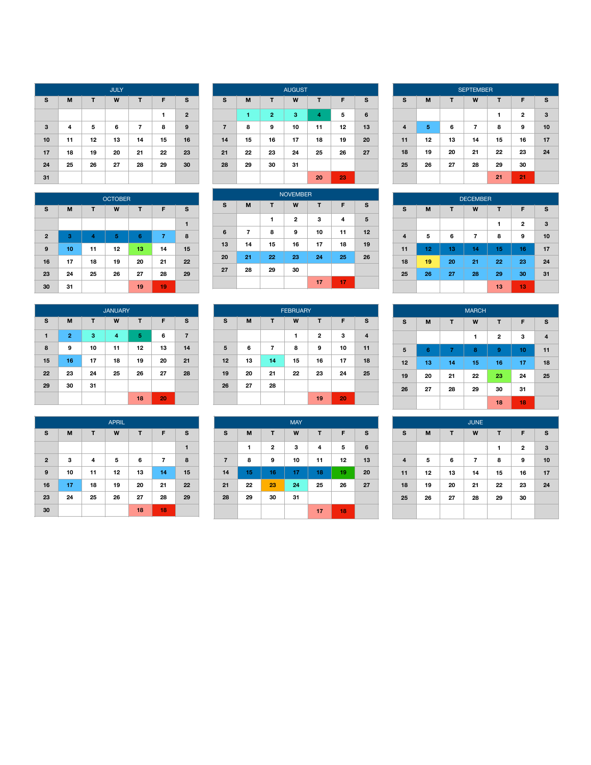| <b>JULY</b> |    |    |    |    |    |                |  |  |
|-------------|----|----|----|----|----|----------------|--|--|
| s           | M  | т  | W  | T  | F  | s              |  |  |
|             |    |    |    |    | 1  | $\overline{2}$ |  |  |
| 3           | 4  | 5  | 6  | 7  | 8  | 9              |  |  |
| 10          | 11 | 12 | 13 | 14 | 15 | 16             |  |  |
| 17          | 18 | 19 | 20 | 21 | 22 | 23             |  |  |
| 24          | 25 | 26 | 27 | 28 | 29 | 30             |  |  |
| 31          |    |    |    |    |    |                |  |  |

| <b>OCTOBER</b> |    |    |    |                 |    |    |  |  |
|----------------|----|----|----|-----------------|----|----|--|--|
| s              | M  | T  | W  | T               | F  | s  |  |  |
|                |    |    |    |                 |    | 1  |  |  |
| $\mathbf{2}$   | 3  | 4  | 5  | $6\phantom{1}6$ | 7  | 8  |  |  |
| 9              | 10 | 11 | 12 | 13              | 14 | 15 |  |  |
| 16             | 17 | 18 | 19 | 20              | 21 | 22 |  |  |
| 23             | 24 | 25 | 26 | 27              | 28 | 29 |  |  |
| 30             | 31 |    |    | 19              | 19 |    |  |  |

| <b>JANUARY</b> |                |    |    |    |    |                |  |  |
|----------------|----------------|----|----|----|----|----------------|--|--|
| S              | M              | T  | W  | т  | F  | s              |  |  |
| 1              | $\overline{2}$ | 3  | 4  | 5  | 6  | $\overline{7}$ |  |  |
| 8              | 9              | 10 | 11 | 12 | 13 | 14             |  |  |
| 15             | 16             | 17 | 18 | 19 | 20 | 21             |  |  |
| 22             | 23             | 24 | 25 | 26 | 27 | 28             |  |  |
| 29             | 30             | 31 |    |    |    |                |  |  |
|                |                |    |    | 18 | 20 |                |  |  |

|              | <b>APRIL</b> |    |    |    |                |             |  |  |  |
|--------------|--------------|----|----|----|----------------|-------------|--|--|--|
| s            | M            | T  | W  | T  | F              | $\mathbf s$ |  |  |  |
|              |              |    |    |    |                | 1           |  |  |  |
| $\mathbf{2}$ | 3            | 4  | 5  | 6  | $\overline{7}$ | 8           |  |  |  |
| 9            | 10           | 11 | 12 | 13 | 14             | 15          |  |  |  |
| 16           | 17           | 18 | 19 | 20 | 21             | 22          |  |  |  |
| 23           | 24           | 25 | 26 | 27 | 28             | 29          |  |  |  |
| 30           |              |    |    | 18 | 18             |             |  |  |  |

| <b>AUGUST</b>  |    |                |    |    |    |    |  |  |
|----------------|----|----------------|----|----|----|----|--|--|
| s              | M  | т              | W  | T  | F  | s  |  |  |
|                | 1  | $\overline{2}$ | 3  | 4  | 5  | 6  |  |  |
| $\overline{7}$ | 8  | 9              | 10 | 11 | 12 | 13 |  |  |
| 14             | 15 | 16             | 17 | 18 | 19 | 20 |  |  |
| 21             | 22 | 23             | 24 | 25 | 26 | 27 |  |  |
| 28             | 29 | 30             | 31 |    |    |    |  |  |
|                |    |                |    | 20 | 23 |    |  |  |

|    | <b>NOVEMBER</b> |    |    |    |    |    |  |  |  |
|----|-----------------|----|----|----|----|----|--|--|--|
| S  | M               | T  | W  | т  | F  | s  |  |  |  |
|    |                 | 1  | 2  | 3  | 4  | 5  |  |  |  |
| 6  | 7               | 8  | 9  | 10 | 11 | 12 |  |  |  |
| 13 | 14              | 15 | 16 | 17 | 18 | 19 |  |  |  |
| 20 | 21              | 22 | 23 | 24 | 25 | 26 |  |  |  |
| 27 | 28              | 29 | 30 |    |    |    |  |  |  |
|    |                 |    |    | 17 | 17 |    |  |  |  |

| <b>FEBRUARY</b> |    |    |    |              |    |    |  |  |
|-----------------|----|----|----|--------------|----|----|--|--|
| s               | M  | T  | W  | T            | F  | S  |  |  |
|                 |    |    | 1  | $\mathbf{2}$ | 3  | 4  |  |  |
| $\sqrt{5}$      | 6  | 7  | 8  | 9            | 10 | 11 |  |  |
| 12              | 13 | 14 | 15 | 16           | 17 | 18 |  |  |
| 19              | 20 | 21 | 22 | 23           | 24 | 25 |  |  |
| 26              | 27 | 28 |    |              |    |    |  |  |
|                 |    |    |    | 19           | 20 |    |  |  |

| <b>MAY</b>     |    |              |    |    |    |    |  |  |
|----------------|----|--------------|----|----|----|----|--|--|
| S              | M  | T            | W  | T  | F  | s  |  |  |
|                | 1  | $\mathbf{2}$ | 3  | 4  | 5  | 6  |  |  |
| $\overline{7}$ | 8  | 9            | 10 | 11 | 12 | 13 |  |  |
| 14             | 15 | 16           | 17 | 18 | 19 | 20 |  |  |
| 21             | 22 | 23           | 24 | 25 | 26 | 27 |  |  |
| 28             | 29 | 30           | 31 |    |    |    |  |  |
|                |    |              |    | 17 | 18 |    |  |  |

|                | <b>SEPTEMBER</b> |    |    |    |              |    |  |  |  |
|----------------|------------------|----|----|----|--------------|----|--|--|--|
| s              | M                | т  | W  | т  | F            | s  |  |  |  |
|                |                  |    |    | 1  | $\mathbf{2}$ | 3  |  |  |  |
| $\overline{4}$ | 5                | 6  | 7  | 8  | 9            | 10 |  |  |  |
| 11             | 12               | 13 | 14 | 15 | 16           | 17 |  |  |  |
| 18             | 19               | 20 | 21 | 22 | 23           | 24 |  |  |  |
| 25             | 26               | 27 | 28 | 29 | 30           |    |  |  |  |
|                |                  |    |    | 21 | 21           |    |  |  |  |

| <b>DECEMBER</b> |                       |    |                |    |                |    |  |  |
|-----------------|-----------------------|----|----------------|----|----------------|----|--|--|
| S               | W<br>M<br>т<br>T<br>F |    |                |    |                |    |  |  |
|                 |                       |    |                | 1  | $\overline{2}$ | 3  |  |  |
| $\overline{4}$  | 5                     | 6  | $\overline{7}$ | 8  | 9              | 10 |  |  |
| 11              | 12                    | 13 | 14             | 15 | 16             | 17 |  |  |
| 18              | 19                    | 20 | 21             | 22 | 23             | 24 |  |  |
| 25              | 26                    | 27 | 28             | 29 | 30             | 31 |  |  |
|                 |                       |    |                | 13 | 13             |    |  |  |

| <b>MARCH</b> |                |                |    |    |    |                         |  |  |
|--------------|----------------|----------------|----|----|----|-------------------------|--|--|
| s            | M              | T              | W  | T  | F  | s                       |  |  |
|              |                |                | 1  | 2  | 3  | $\overline{\mathbf{4}}$ |  |  |
| 5            | $6\phantom{1}$ | $\overline{7}$ | 8  | 9  | 10 | 11                      |  |  |
| 12           | 13             | 14             | 15 | 16 | 17 | 18                      |  |  |
| 19           | 20             | 21             | 22 | 23 | 24 | 25                      |  |  |
| 26           | 27             | 28             | 29 | 30 | 31 |                         |  |  |
|              |                |                |    | 18 | 18 |                         |  |  |

| <b>JUNE</b>    |    |    |                |    |              |    |  |  |
|----------------|----|----|----------------|----|--------------|----|--|--|
| s              | M  | т  | W              | т  | F            | s  |  |  |
|                |    |    |                | 1  | $\mathbf{2}$ | 3  |  |  |
| $\overline{4}$ | 5  | 6  | $\overline{7}$ | 8  | 9            | 10 |  |  |
| 11             | 12 | 13 | 14             | 15 | 16           | 17 |  |  |
| 18             | 19 | 20 | 21             | 22 | 23           | 24 |  |  |
| 25             | 26 | 27 | 28             | 29 | 30           |    |  |  |
|                |    |    |                |    |              |    |  |  |